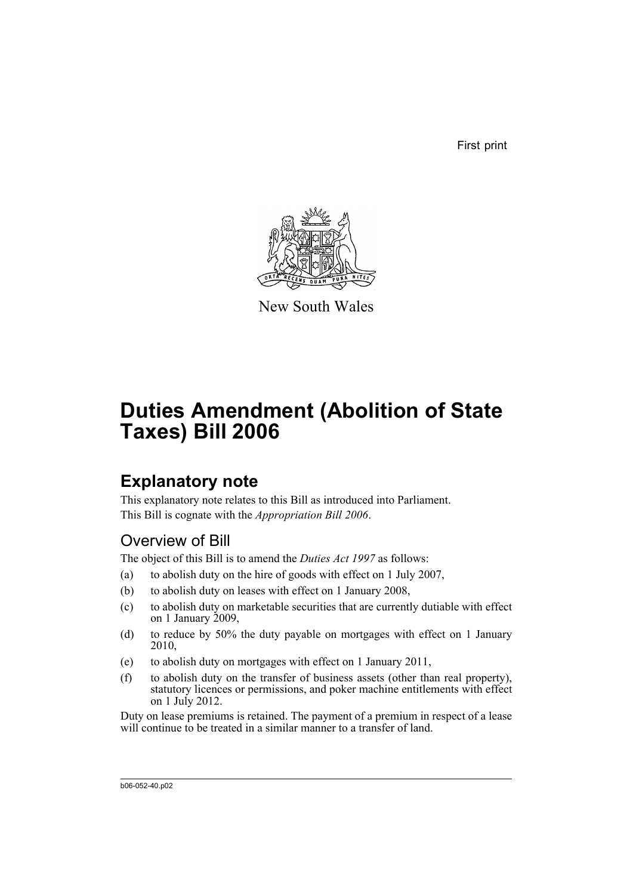First print



New South Wales

# **Duties Amendment (Abolition of State Taxes) Bill 2006**

# **Explanatory note**

This explanatory note relates to this Bill as introduced into Parliament. This Bill is cognate with the *Appropriation Bill 2006*.

# Overview of Bill

The object of this Bill is to amend the *Duties Act 1997* as follows:

- (a) to abolish duty on the hire of goods with effect on 1 July 2007,
- (b) to abolish duty on leases with effect on 1 January 2008,
- (c) to abolish duty on marketable securities that are currently dutiable with effect on 1 January 2009,
- (d) to reduce by 50% the duty payable on mortgages with effect on 1 January 2010,
- (e) to abolish duty on mortgages with effect on 1 January 2011,
- (f) to abolish duty on the transfer of business assets (other than real property), statutory licences or permissions, and poker machine entitlements with effect on 1 July 2012.

Duty on lease premiums is retained. The payment of a premium in respect of a lease will continue to be treated in a similar manner to a transfer of land.

b06-052-40.p02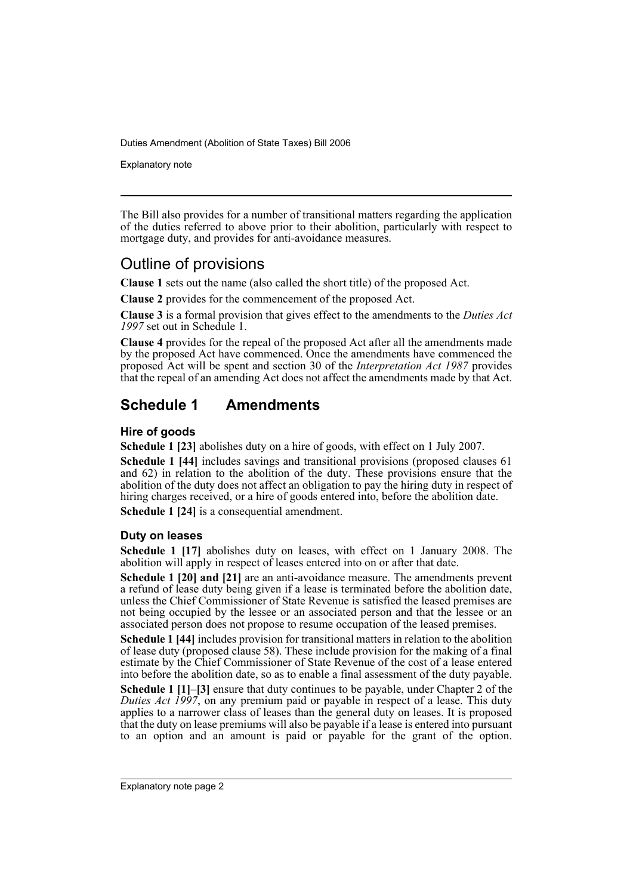Explanatory note

The Bill also provides for a number of transitional matters regarding the application of the duties referred to above prior to their abolition, particularly with respect to mortgage duty, and provides for anti-avoidance measures.

# Outline of provisions

**Clause 1** sets out the name (also called the short title) of the proposed Act.

**Clause 2** provides for the commencement of the proposed Act.

**Clause 3** is a formal provision that gives effect to the amendments to the *Duties Act 1997* set out in Schedule 1.

**Clause 4** provides for the repeal of the proposed Act after all the amendments made by the proposed Act have commenced. Once the amendments have commenced the proposed Act will be spent and section 30 of the *Interpretation Act 1987* provides that the repeal of an amending Act does not affect the amendments made by that Act.

# **Schedule 1 Amendments**

# **Hire of goods**

**Schedule 1 [23]** abolishes duty on a hire of goods, with effect on 1 July 2007.

**Schedule 1 [44]** includes savings and transitional provisions (proposed clauses 61 and 62) in relation to the abolition of the duty. These provisions ensure that the abolition of the duty does not affect an obligation to pay the hiring duty in respect of hiring charges received, or a hire of goods entered into, before the abolition date.

**Schedule 1 [24]** is a consequential amendment.

# **Duty on leases**

**Schedule 1 [17]** abolishes duty on leases, with effect on 1 January 2008. The abolition will apply in respect of leases entered into on or after that date.

**Schedule 1 [20] and [21]** are an anti-avoidance measure. The amendments prevent a refund of lease duty being given if a lease is terminated before the abolition date, unless the Chief Commissioner of State Revenue is satisfied the leased premises are not being occupied by the lessee or an associated person and that the lessee or an associated person does not propose to resume occupation of the leased premises.

**Schedule 1 [44]** includes provision for transitional matters in relation to the abolition of lease duty (proposed clause 58). These include provision for the making of a final estimate by the Chief Commissioner of State Revenue of the cost of a lease entered into before the abolition date, so as to enable a final assessment of the duty payable.

**Schedule 1 [1]–[3]** ensure that duty continues to be payable, under Chapter 2 of the *Duties Act 1997*, on any premium paid or payable in respect of a lease. This duty applies to a narrower class of leases than the general duty on leases. It is proposed that the duty on lease premiums will also be payable if a lease is entered into pursuant to an option and an amount is paid or payable for the grant of the option.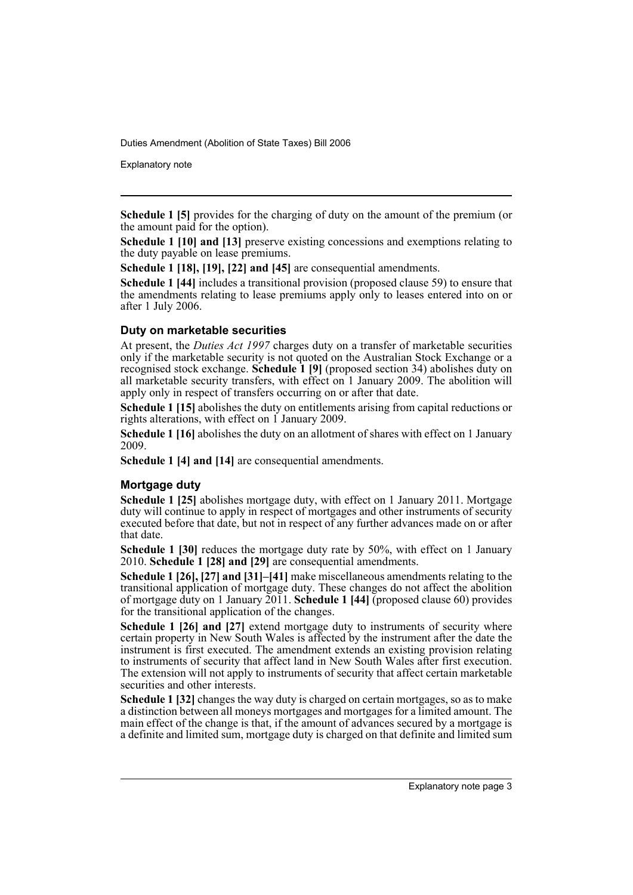Explanatory note

**Schedule 1 [5]** provides for the charging of duty on the amount of the premium (or the amount paid for the option).

**Schedule 1 [10] and [13]** preserve existing concessions and exemptions relating to the duty payable on lease premiums.

**Schedule 1 [18], [19], [22] and [45]** are consequential amendments.

**Schedule 1 [44]** includes a transitional provision (proposed clause 59) to ensure that the amendments relating to lease premiums apply only to leases entered into on or after 1 July 2006.

### **Duty on marketable securities**

At present, the *Duties Act 1997* charges duty on a transfer of marketable securities only if the marketable security is not quoted on the Australian Stock Exchange or a recognised stock exchange. **Schedule 1 [9]** (proposed section 34) abolishes duty on all marketable security transfers, with effect on 1 January 2009. The abolition will apply only in respect of transfers occurring on or after that date.

**Schedule 1 [15]** abolishes the duty on entitlements arising from capital reductions or rights alterations, with effect on 1 January 2009.

**Schedule 1 [16]** abolishes the duty on an allotment of shares with effect on 1 January 2009.

**Schedule 1 [4] and [14]** are consequential amendments.

## **Mortgage duty**

**Schedule 1 [25]** abolishes mortgage duty, with effect on 1 January 2011. Mortgage duty will continue to apply in respect of mortgages and other instruments of security executed before that date, but not in respect of any further advances made on or after that date.

**Schedule 1 [30]** reduces the mortgage duty rate by 50%, with effect on 1 January 2010. **Schedule 1 [28] and [29]** are consequential amendments.

**Schedule 1 [26], [27] and [31]–[41]** make miscellaneous amendments relating to the transitional application of mortgage duty. These changes do not affect the abolition of mortgage duty on 1 January 2011. **Schedule 1 [44]** (proposed clause 60) provides for the transitional application of the changes.

**Schedule 1 [26] and [27]** extend mortgage duty to instruments of security where certain property in New South Wales is affected by the instrument after the date the instrument is first executed. The amendment extends an existing provision relating to instruments of security that affect land in New South Wales after first execution. The extension will not apply to instruments of security that affect certain marketable securities and other interests.

**Schedule 1 [32]** changes the way duty is charged on certain mortgages, so as to make a distinction between all moneys mortgages and mortgages for a limited amount. The main effect of the change is that, if the amount of advances secured by a mortgage is a definite and limited sum, mortgage duty is charged on that definite and limited sum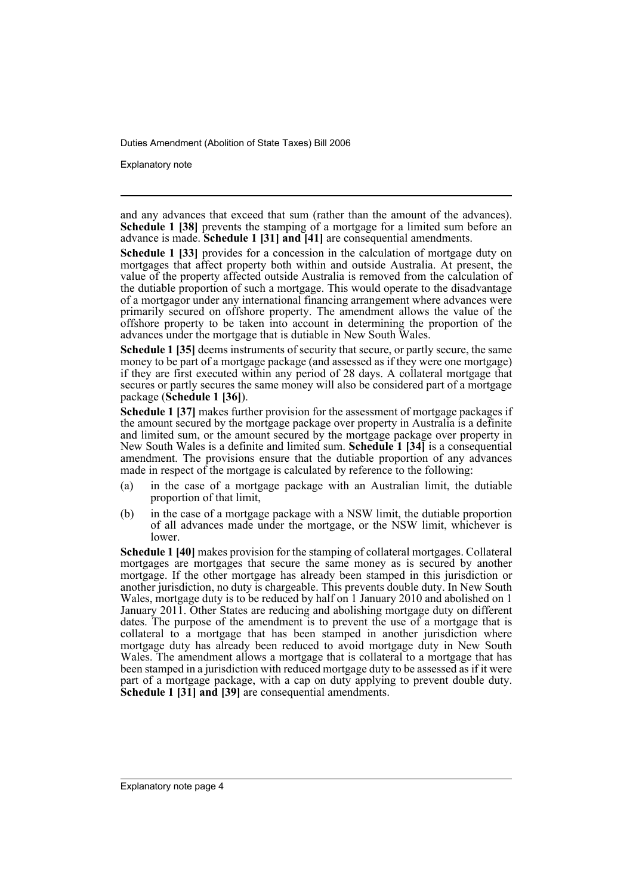Explanatory note

and any advances that exceed that sum (rather than the amount of the advances). **Schedule 1 [38]** prevents the stamping of a mortgage for a limited sum before an advance is made. **Schedule 1 [31] and [41]** are consequential amendments.

**Schedule 1 [33]** provides for a concession in the calculation of mortgage duty on mortgages that affect property both within and outside Australia. At present, the value of the property affected outside Australia is removed from the calculation of the dutiable proportion of such a mortgage. This would operate to the disadvantage of a mortgagor under any international financing arrangement where advances were primarily secured on offshore property. The amendment allows the value of the offshore property to be taken into account in determining the proportion of the advances under the mortgage that is dutiable in New South Wales.

**Schedule 1 [35]** deems instruments of security that secure, or partly secure, the same money to be part of a mortgage package (and assessed as if they were one mortgage) if they are first executed within any period of 28 days. A collateral mortgage that secures or partly secures the same money will also be considered part of a mortgage package (**Schedule 1 [36]**).

**Schedule 1 [37]** makes further provision for the assessment of mortgage packages if the amount secured by the mortgage package over property in Australia is a definite and limited sum, or the amount secured by the mortgage package over property in New South Wales is a definite and limited sum. **Schedule 1 [34]** is a consequential amendment. The provisions ensure that the dutiable proportion of any advances made in respect of the mortgage is calculated by reference to the following:

- (a) in the case of a mortgage package with an Australian limit, the dutiable proportion of that limit,
- (b) in the case of a mortgage package with a NSW limit, the dutiable proportion of all advances made under the mortgage, or the NSW limit, whichever is lower.

**Schedule 1 [40]** makes provision for the stamping of collateral mortgages. Collateral mortgages are mortgages that secure the same money as is secured by another mortgage. If the other mortgage has already been stamped in this jurisdiction or another jurisdiction, no duty is chargeable. This prevents double duty. In New South Wales, mortgage duty is to be reduced by half on 1 January 2010 and abolished on 1 January 2011. Other States are reducing and abolishing mortgage duty on different dates. The purpose of the amendment is to prevent the use of a mortgage that is collateral to a mortgage that has been stamped in another jurisdiction where mortgage duty has already been reduced to avoid mortgage duty in New South Wales. The amendment allows a mortgage that is collateral to a mortgage that has been stamped in a jurisdiction with reduced mortgage duty to be assessed as if it were part of a mortgage package, with a cap on duty applying to prevent double duty. **Schedule 1 [31] and [39]** are consequential amendments.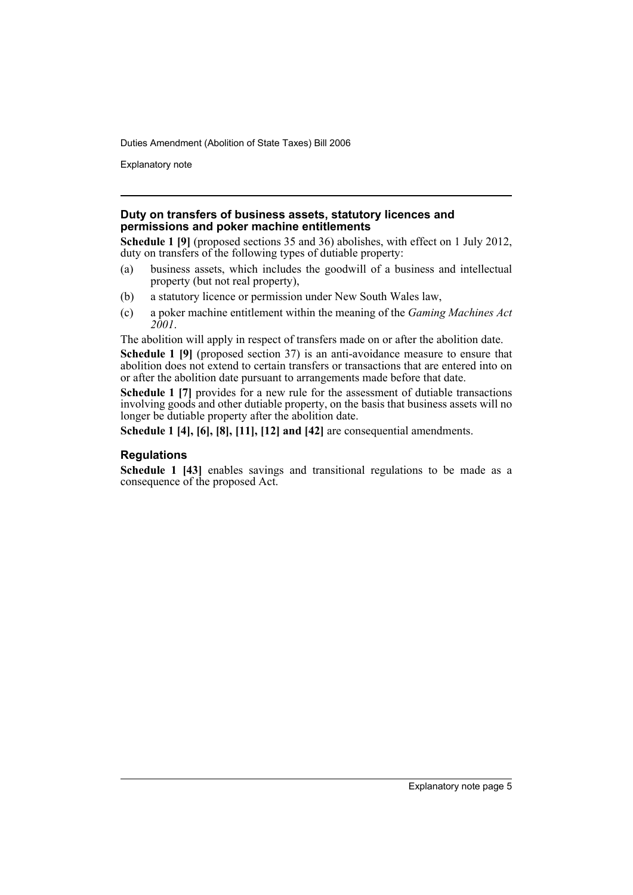Explanatory note

## **Duty on transfers of business assets, statutory licences and permissions and poker machine entitlements**

**Schedule 1 [9]** (proposed sections 35 and 36) abolishes, with effect on 1 July 2012, duty on transfers of the following types of dutiable property:

- (a) business assets, which includes the goodwill of a business and intellectual property (but not real property),
- (b) a statutory licence or permission under New South Wales law,
- (c) a poker machine entitlement within the meaning of the *Gaming Machines Act 2001*.

The abolition will apply in respect of transfers made on or after the abolition date.

**Schedule 1 [9]** (proposed section 37) is an anti-avoidance measure to ensure that abolition does not extend to certain transfers or transactions that are entered into on or after the abolition date pursuant to arrangements made before that date.

**Schedule 1 [7]** provides for a new rule for the assessment of dutiable transactions involving goods and other dutiable property, on the basis that business assets will no longer be dutiable property after the abolition date.

**Schedule 1 [4], [6], [8], [11], [12] and [42]** are consequential amendments.

## **Regulations**

**Schedule 1 [43]** enables savings and transitional regulations to be made as a consequence of the proposed Act.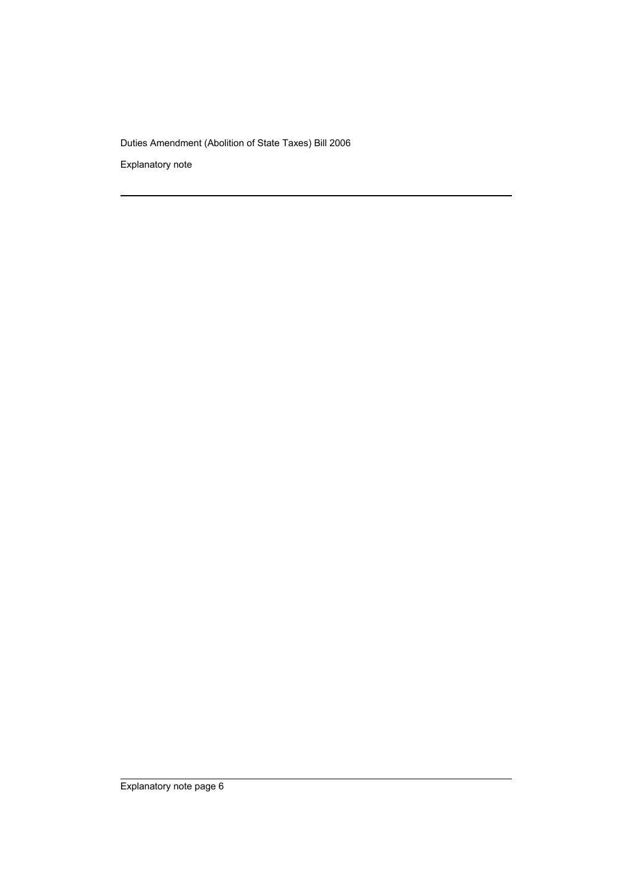Explanatory note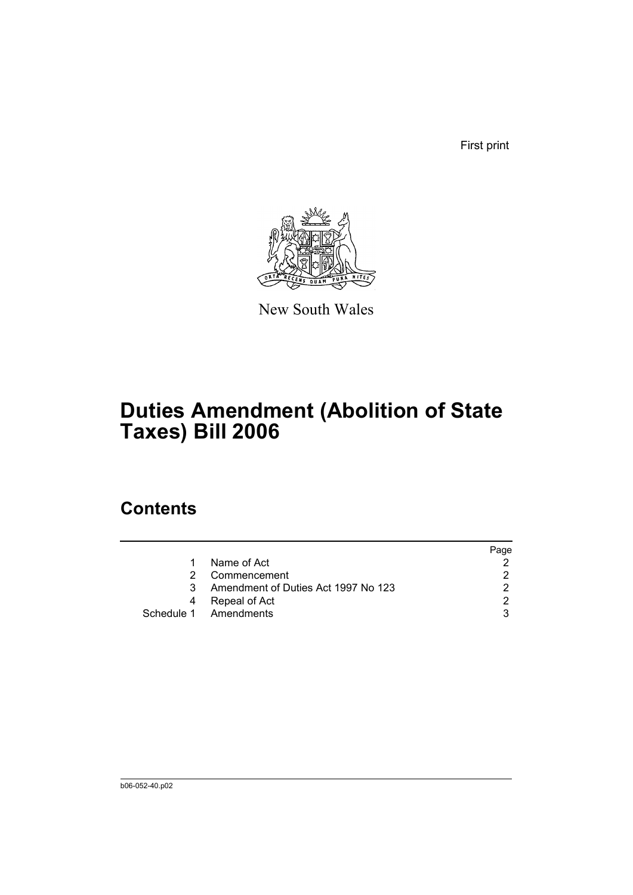First print



New South Wales

# **Duties Amendment (Abolition of State Taxes) Bill 2006**

# **Contents**

|   |                                     | Page |
|---|-------------------------------------|------|
|   | Name of Act                         |      |
| 2 | Commencement                        |      |
| 3 | Amendment of Duties Act 1997 No 123 |      |
| 4 | Repeal of Act                       |      |
|   | Schedule 1 Amendments               |      |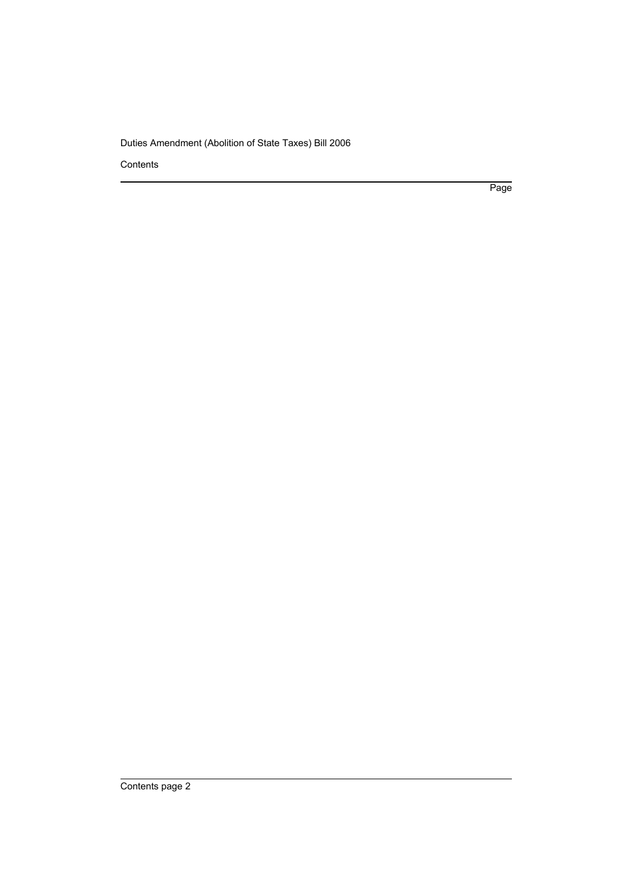Contents

Page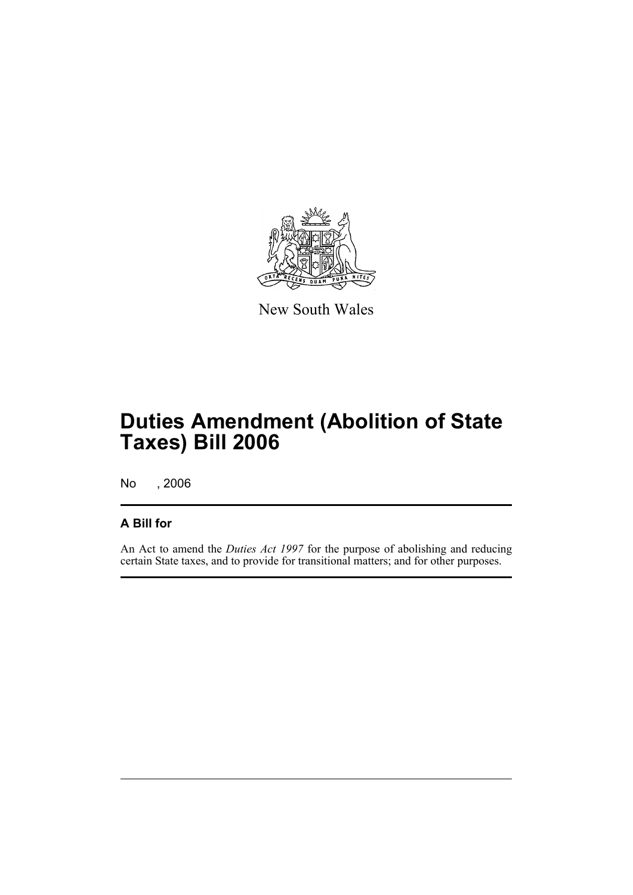

New South Wales

# **Duties Amendment (Abolition of State Taxes) Bill 2006**

No , 2006

# **A Bill for**

An Act to amend the *Duties Act 1997* for the purpose of abolishing and reducing certain State taxes, and to provide for transitional matters; and for other purposes.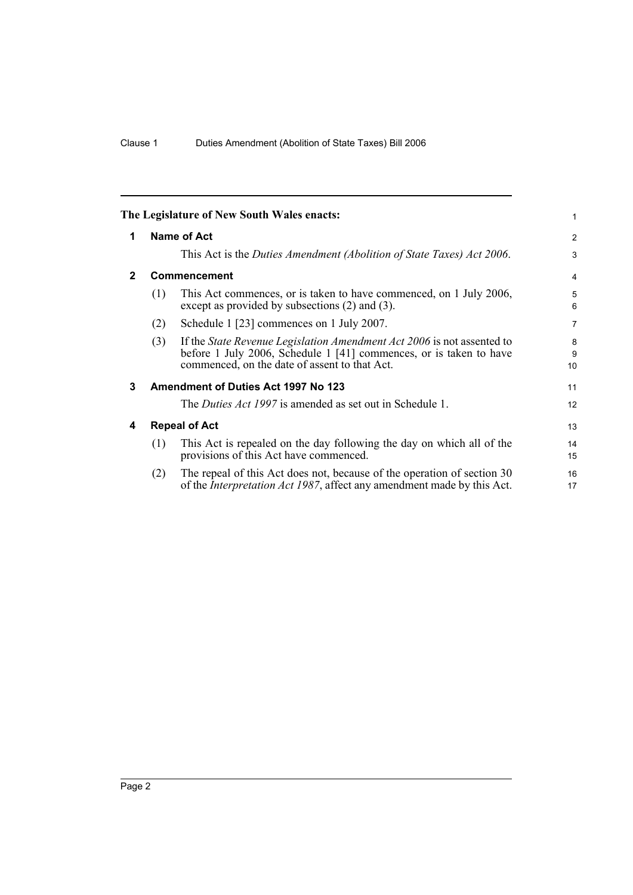|                         |     | The Legislature of New South Wales enacts:                                                                                                                                                    | 1              |  |  |  |
|-------------------------|-----|-----------------------------------------------------------------------------------------------------------------------------------------------------------------------------------------------|----------------|--|--|--|
| <b>Name of Act</b><br>1 |     |                                                                                                                                                                                               |                |  |  |  |
|                         |     | This Act is the Duties Amendment (Abolition of State Taxes) Act 2006.                                                                                                                         | 3              |  |  |  |
| $\mathbf{2}$            |     | <b>Commencement</b>                                                                                                                                                                           | $\overline{4}$ |  |  |  |
|                         | (1) | This Act commences, or is taken to have commenced, on 1 July 2006,<br>except as provided by subsections $(2)$ and $(3)$ .                                                                     | 5<br>6         |  |  |  |
|                         | (2) | Schedule 1 [23] commences on 1 July 2007.                                                                                                                                                     | 7              |  |  |  |
|                         | (3) | If the State Revenue Legislation Amendment Act 2006 is not assented to<br>before 1 July 2006, Schedule 1 [41] commences, or is taken to have<br>commenced, on the date of assent to that Act. | 8<br>9<br>10   |  |  |  |
| 3                       |     | Amendment of Duties Act 1997 No 123                                                                                                                                                           | 11             |  |  |  |
|                         |     | The <i>Duties Act 1997</i> is amended as set out in Schedule 1.                                                                                                                               | 12             |  |  |  |
| 4                       |     | <b>Repeal of Act</b>                                                                                                                                                                          | 13             |  |  |  |
|                         | (1) | This Act is repealed on the day following the day on which all of the<br>provisions of this Act have commenced.                                                                               | 14<br>15       |  |  |  |
|                         | (2) | The repeal of this Act does not, because of the operation of section 30<br>of the <i>Interpretation Act 1987</i> , affect any amendment made by this Act.                                     | 16<br>17       |  |  |  |
|                         |     |                                                                                                                                                                                               |                |  |  |  |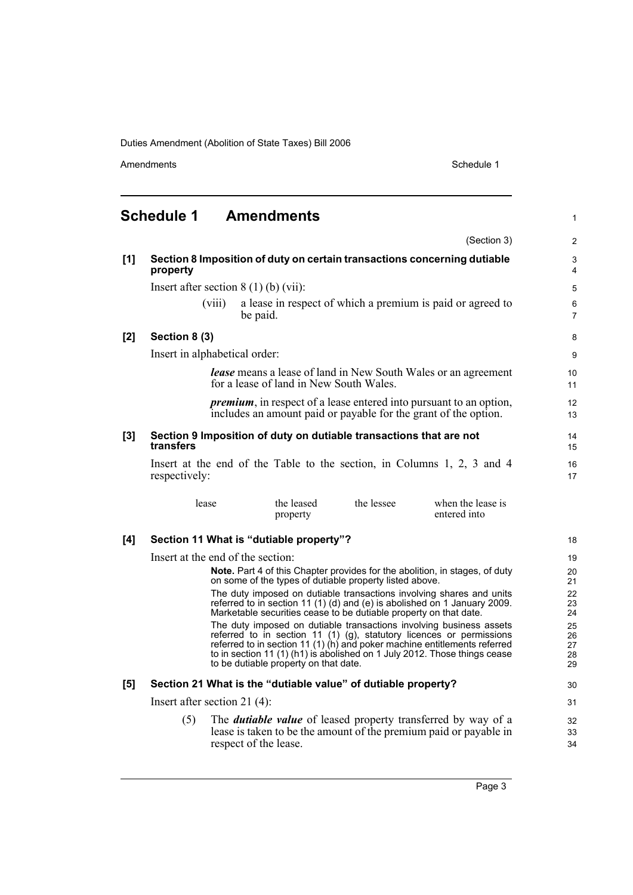Amendments Schedule 1

1

|     |                                 |        |                                                                          |            | (Section 3)                                                                                                                                            | $\overline{2}$      |
|-----|---------------------------------|--------|--------------------------------------------------------------------------|------------|--------------------------------------------------------------------------------------------------------------------------------------------------------|---------------------|
| [1] | property                        |        | Section 8 Imposition of duty on certain transactions concerning dutiable |            |                                                                                                                                                        | 3<br>4              |
|     |                                 |        | Insert after section $8(1)(b)(vii)$ :                                    |            |                                                                                                                                                        | 5                   |
|     |                                 | (viii) | be paid.                                                                 |            | a lease in respect of which a premium is paid or agreed to                                                                                             | 6<br>$\overline{7}$ |
| [2] | Section 8 (3)                   |        |                                                                          |            |                                                                                                                                                        | 8                   |
|     | Insert in alphabetical order:   |        |                                                                          |            |                                                                                                                                                        | 9                   |
|     |                                 |        | for a lease of land in New South Wales.                                  |            | <b><i>lease</i></b> means a lease of land in New South Wales or an agreement                                                                           | 10<br>11            |
|     |                                 |        | includes an amount paid or payable for the grant of the option.          |            | <i>premium</i> , in respect of a lease entered into pursuant to an option,                                                                             | 12<br>13            |
| [3] | transfers                       |        | Section 9 Imposition of duty on dutiable transactions that are not       |            |                                                                                                                                                        | 14<br>15            |
|     | respectively:                   |        |                                                                          |            | Insert at the end of the Table to the section, in Columns 1, 2, 3 and 4                                                                                | 16<br>17            |
|     |                                 | lease  | the leased<br>property                                                   | the lessee | when the lease is<br>entered into                                                                                                                      |                     |
| [4] |                                 |        | Section 11 What is "dutiable property"?                                  |            |                                                                                                                                                        | 18                  |
|     |                                 |        | Insert at the end of the section:                                        |            |                                                                                                                                                        | 19                  |
|     |                                 |        | on some of the types of dutiable property listed above.                  |            | Note. Part 4 of this Chapter provides for the abolition, in stages, of duty                                                                            | 20<br>21            |
|     |                                 |        | Marketable securities cease to be dutiable property on that date.        |            | The duty imposed on dutiable transactions involving shares and units<br>referred to in section 11 (1) (d) and (e) is abolished on 1 January 2009.      | 22<br>23<br>24      |
|     |                                 |        |                                                                          |            | The duty imposed on dutiable transactions involving business assets<br>referred to in section 11 (1) (g), statutory licences or permissions            | 25<br>26            |
|     |                                 |        | to be dutiable property on that date.                                    |            | referred to in section 11 (1) (h) and poker machine entitlements referred<br>to in section 11 (1) (h1) is abolished on 1 July 2012. Those things cease | 27<br>28<br>29      |
| [5] |                                 |        | Section 21 What is the "dutiable value" of dutiable property?            |            |                                                                                                                                                        | 30                  |
|     | Insert after section 21 $(4)$ : |        |                                                                          |            |                                                                                                                                                        | 31                  |
|     | (5)                             |        | respect of the lease.                                                    |            | The <i>dutiable value</i> of leased property transferred by way of a<br>lease is taken to be the amount of the premium paid or payable in              | 32<br>33<br>34      |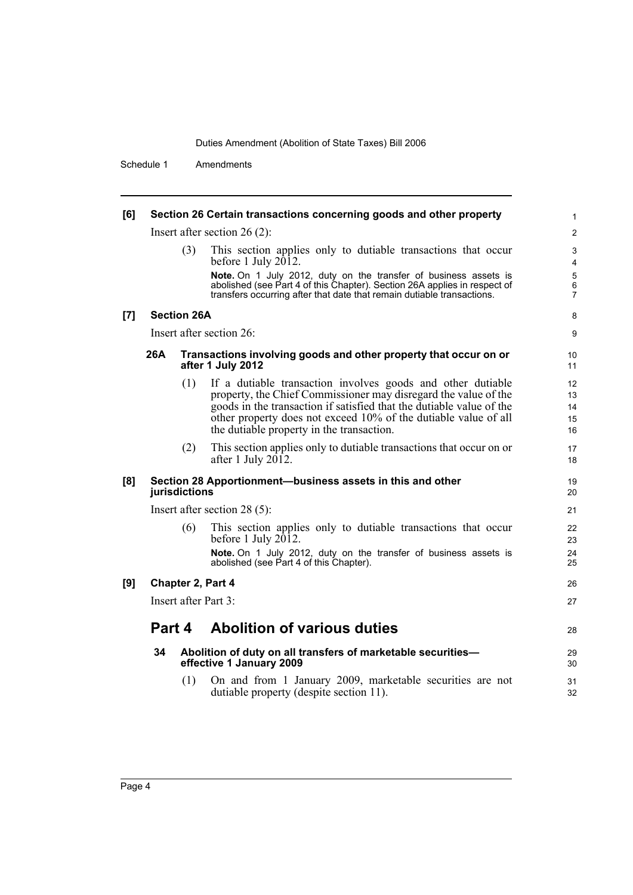| [6] | Section 26 Certain transactions concerning goods and other property |                    |                                                                                                                                                                                                                                                                                                                        |                                |  |  |
|-----|---------------------------------------------------------------------|--------------------|------------------------------------------------------------------------------------------------------------------------------------------------------------------------------------------------------------------------------------------------------------------------------------------------------------------------|--------------------------------|--|--|
|     |                                                                     |                    | Insert after section $26(2)$ :                                                                                                                                                                                                                                                                                         | $\overline{2}$                 |  |  |
|     |                                                                     | (3)                | This section applies only to dutiable transactions that occur<br>before 1 July $2012$ .                                                                                                                                                                                                                                | $\mathsf 3$<br>$\overline{4}$  |  |  |
|     |                                                                     |                    | Note. On 1 July 2012, duty on the transfer of business assets is<br>abolished (see Part 4 of this Chapter). Section 26A applies in respect of<br>transfers occurring after that date that remain dutiable transactions.                                                                                                | 5<br>$\,6\,$<br>$\overline{7}$ |  |  |
| [7] |                                                                     | <b>Section 26A</b> |                                                                                                                                                                                                                                                                                                                        | 8                              |  |  |
|     |                                                                     |                    | Insert after section 26:                                                                                                                                                                                                                                                                                               | 9                              |  |  |
|     | 26A                                                                 |                    | Transactions involving goods and other property that occur on or<br>after 1 July 2012                                                                                                                                                                                                                                  | 10<br>11                       |  |  |
|     |                                                                     | (1)                | If a dutiable transaction involves goods and other dutiable<br>property, the Chief Commissioner may disregard the value of the<br>goods in the transaction if satisfied that the dutiable value of the<br>other property does not exceed 10% of the dutiable value of all<br>the dutiable property in the transaction. | 12<br>13<br>14<br>15<br>16     |  |  |
|     |                                                                     | (2)                | This section applies only to dutiable transactions that occur on or<br>after 1 July $20\overline{1}2$ .                                                                                                                                                                                                                | 17<br>18                       |  |  |
| [8] |                                                                     | jurisdictions      | Section 28 Apportionment-business assets in this and other                                                                                                                                                                                                                                                             | 19<br>20                       |  |  |
|     |                                                                     |                    | Insert after section $28(5)$ :                                                                                                                                                                                                                                                                                         | 21                             |  |  |
|     |                                                                     | (6)                | This section applies only to dutiable transactions that occur<br>before 1 July $20\overline{1}2$ .                                                                                                                                                                                                                     | 22<br>23                       |  |  |
|     |                                                                     |                    | Note. On 1 July 2012, duty on the transfer of business assets is<br>abolished (see Part 4 of this Chapter).                                                                                                                                                                                                            | 24<br>25                       |  |  |
| [9] |                                                                     |                    | <b>Chapter 2, Part 4</b>                                                                                                                                                                                                                                                                                               | 26                             |  |  |
|     |                                                                     |                    | Insert after Part 3:                                                                                                                                                                                                                                                                                                   | 27                             |  |  |
|     | Part 4                                                              |                    | <b>Abolition of various duties</b>                                                                                                                                                                                                                                                                                     | 28                             |  |  |
|     | 34                                                                  |                    | Abolition of duty on all transfers of marketable securities-<br>effective 1 January 2009                                                                                                                                                                                                                               | 29<br>30                       |  |  |
|     |                                                                     | (1)                | On and from 1 January 2009, marketable securities are not<br>dutiable property (despite section 11).                                                                                                                                                                                                                   | 31<br>32                       |  |  |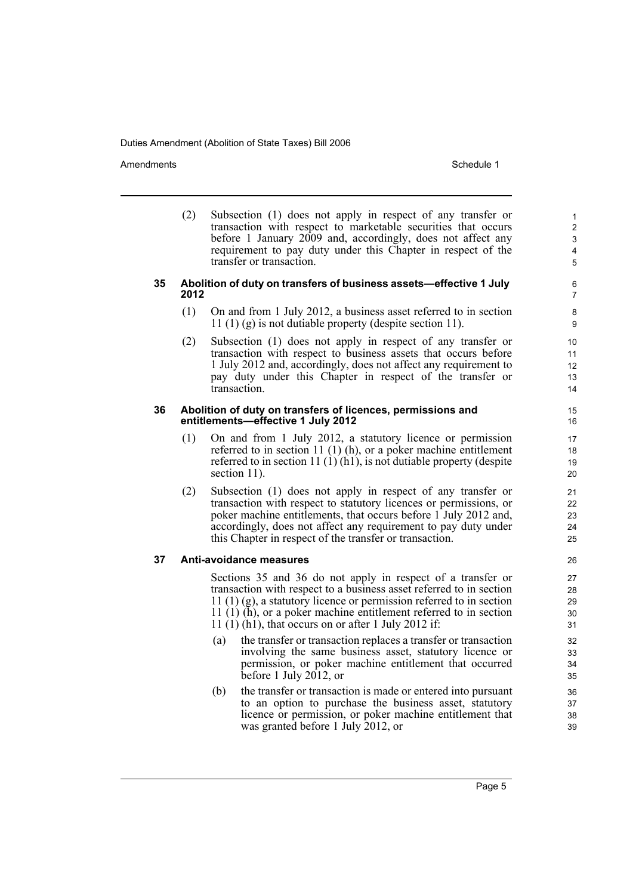Amendments **Amendments** Schedule 1

(2) Subsection (1) does not apply in respect of any transfer or transaction with respect to marketable securities that occurs before 1 January 2009 and, accordingly, does not affect any requirement to pay duty under this Chapter in respect of the transfer or transaction.

#### **35 Abolition of duty on transfers of business assets—effective 1 July 2012**

- (1) On and from 1 July 2012, a business asset referred to in section 11 (1) (g) is not dutiable property (despite section 11).
- (2) Subsection (1) does not apply in respect of any transfer or transaction with respect to business assets that occurs before 1 July 2012 and, accordingly, does not affect any requirement to pay duty under this Chapter in respect of the transfer or transaction.

#### **36 Abolition of duty on transfers of licences, permissions and entitlements—effective 1 July 2012**

- (1) On and from 1 July 2012, a statutory licence or permission referred to in section 11 (1) (h), or a poker machine entitlement referred to in section 11 (1) (h1), is not dutiable property (despite section 11).
- (2) Subsection (1) does not apply in respect of any transfer or transaction with respect to statutory licences or permissions, or poker machine entitlements, that occurs before 1 July 2012 and, accordingly, does not affect any requirement to pay duty under this Chapter in respect of the transfer or transaction.

## **37 Anti-avoidance measures**

Sections 35 and 36 do not apply in respect of a transfer or transaction with respect to a business asset referred to in section 11 (1) (g), a statutory licence or permission referred to in section 11 (1) (h), or a poker machine entitlement referred to in section 11 (1) (h1), that occurs on or after 1 July 2012 if:

- (a) the transfer or transaction replaces a transfer or transaction involving the same business asset, statutory licence or permission, or poker machine entitlement that occurred before 1 July 2012, or
- (b) the transfer or transaction is made or entered into pursuant to an option to purchase the business asset, statutory licence or permission, or poker machine entitlement that was granted before 1 July 2012, or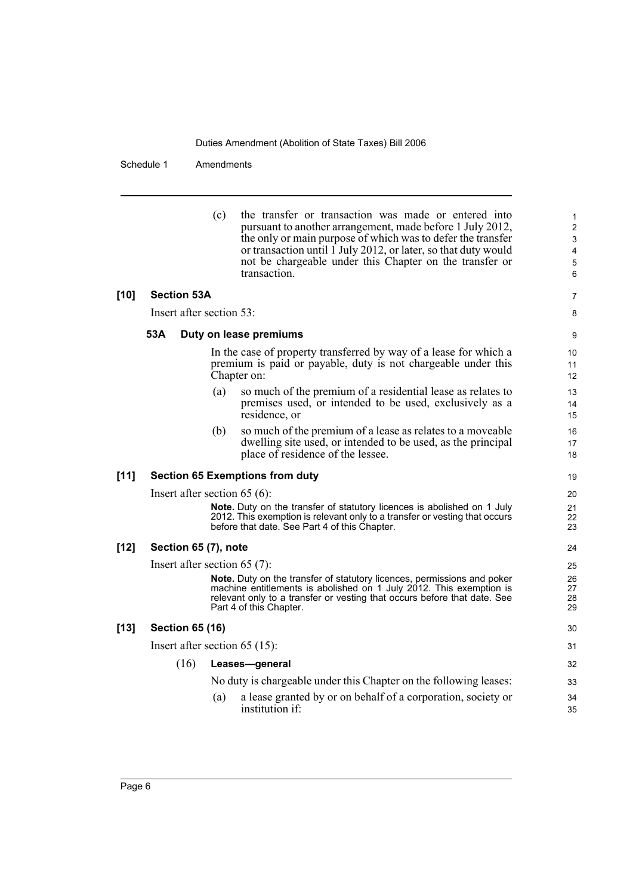|        |                          |      | (c) | the transfer or transaction was made or entered into<br>pursuant to another arrangement, made before 1 July 2012,<br>the only or main purpose of which was to defer the transfer<br>or transaction until 1 July 2012, or later, so that duty would<br>not be chargeable under this Chapter on the transfer or<br>transaction. | $\mathbf{1}$<br>$\overline{2}$<br>3<br>4<br>5<br>6 |
|--------|--------------------------|------|-----|-------------------------------------------------------------------------------------------------------------------------------------------------------------------------------------------------------------------------------------------------------------------------------------------------------------------------------|----------------------------------------------------|
| [10]   | <b>Section 53A</b>       |      |     |                                                                                                                                                                                                                                                                                                                               | 7                                                  |
|        | Insert after section 53: |      |     |                                                                                                                                                                                                                                                                                                                               | 8                                                  |
|        | 53A                      |      |     | Duty on lease premiums                                                                                                                                                                                                                                                                                                        | 9                                                  |
|        |                          |      |     | In the case of property transferred by way of a lease for which a<br>premium is paid or payable, duty is not chargeable under this<br>Chapter on:                                                                                                                                                                             | 10<br>11<br>$12 \overline{ }$                      |
|        |                          |      | (a) | so much of the premium of a residential lease as relates to<br>premises used, or intended to be used, exclusively as a<br>residence, or                                                                                                                                                                                       | 13<br>14<br>15                                     |
|        |                          |      | (b) | so much of the premium of a lease as relates to a moveable<br>dwelling site used, or intended to be used, as the principal<br>place of residence of the lessee.                                                                                                                                                               | 16<br>17<br>18                                     |
| $[11]$ |                          |      |     | <b>Section 65 Exemptions from duty</b>                                                                                                                                                                                                                                                                                        | 19                                                 |
|        |                          |      |     | Insert after section $65(6)$ :                                                                                                                                                                                                                                                                                                | 20                                                 |
|        |                          |      |     | Note. Duty on the transfer of statutory licences is abolished on 1 July<br>2012. This exemption is relevant only to a transfer or vesting that occurs<br>before that date. See Part 4 of this Chapter.                                                                                                                        | 21<br>22<br>23                                     |
| [12]   | Section 65 (7), note     |      |     |                                                                                                                                                                                                                                                                                                                               | 24                                                 |
|        |                          |      |     | Insert after section $65(7)$ :<br>Note. Duty on the transfer of statutory licences, permissions and poker<br>machine entitlements is abolished on 1 July 2012. This exemption is<br>relevant only to a transfer or vesting that occurs before that date. See<br>Part 4 of this Chapter.                                       | 25<br>26<br>27<br>28<br>29                         |
| [13]   | <b>Section 65 (16)</b>   |      |     |                                                                                                                                                                                                                                                                                                                               | 30                                                 |
|        |                          |      |     | Insert after section $65$ (15):                                                                                                                                                                                                                                                                                               | 31                                                 |
|        |                          | (16) |     | Leases-general                                                                                                                                                                                                                                                                                                                | 32                                                 |
|        |                          |      |     | No duty is chargeable under this Chapter on the following leases:                                                                                                                                                                                                                                                             | 33                                                 |
|        |                          |      | (a) | a lease granted by or on behalf of a corporation, society or<br>institution if:                                                                                                                                                                                                                                               | 34<br>35                                           |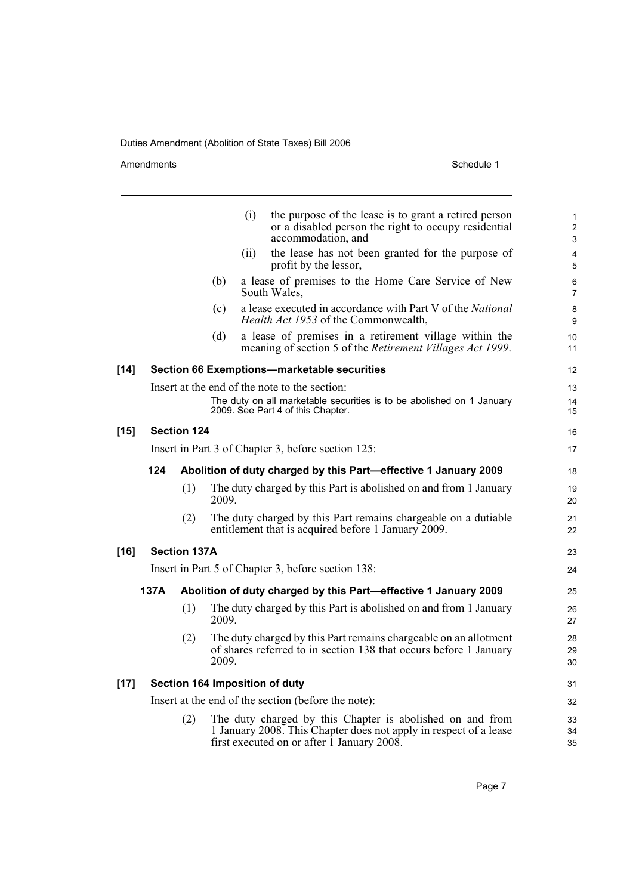Amendments Schedule 1

|        |      |                     |       | (i)  | the purpose of the lease is to grant a retired person<br>or a disabled person the right to occupy residential<br>accommodation, and                                          | 1<br>$\overline{\mathbf{c}}$<br>3 |
|--------|------|---------------------|-------|------|------------------------------------------------------------------------------------------------------------------------------------------------------------------------------|-----------------------------------|
|        |      |                     |       | (ii) | the lease has not been granted for the purpose of<br>profit by the lessor,                                                                                                   | 4<br>5                            |
|        |      |                     | (b)   |      | a lease of premises to the Home Care Service of New<br>South Wales,                                                                                                          | 6<br>7                            |
|        |      |                     | (c)   |      | a lease executed in accordance with Part V of the National<br>Health Act 1953 of the Commonwealth,                                                                           | 8<br>9                            |
|        |      |                     | (d)   |      | a lease of premises in a retirement village within the<br>meaning of section 5 of the Retirement Villages Act 1999.                                                          | 10<br>11                          |
| $[14]$ |      |                     |       |      | Section 66 Exemptions-marketable securities                                                                                                                                  | 12                                |
|        |      |                     |       |      | Insert at the end of the note to the section:                                                                                                                                | 13                                |
|        |      |                     |       |      | The duty on all marketable securities is to be abolished on 1 January<br>2009. See Part 4 of this Chapter.                                                                   | 14<br>15                          |
| $[15]$ |      | <b>Section 124</b>  |       |      |                                                                                                                                                                              | 16                                |
|        |      |                     |       |      | Insert in Part 3 of Chapter 3, before section 125:                                                                                                                           | 17                                |
|        | 124  |                     |       |      | Abolition of duty charged by this Part-effective 1 January 2009                                                                                                              | 18                                |
|        |      | (1)                 | 2009. |      | The duty charged by this Part is abolished on and from 1 January                                                                                                             | 19<br>20                          |
|        |      | (2)                 |       |      | The duty charged by this Part remains chargeable on a dutiable<br>entitlement that is acquired before 1 January 2009.                                                        | 21<br>22                          |
| $[16]$ |      | <b>Section 137A</b> |       |      |                                                                                                                                                                              | 23                                |
|        |      |                     |       |      | Insert in Part 5 of Chapter 3, before section 138:                                                                                                                           | 24                                |
|        | 137A |                     |       |      | Abolition of duty charged by this Part-effective 1 January 2009                                                                                                              | 25                                |
|        |      | (1)                 | 2009. |      | The duty charged by this Part is abolished on and from 1 January                                                                                                             | 26<br>27                          |
|        |      | (2)                 | 2009. |      | The duty charged by this Part remains chargeable on an allotment<br>of shares referred to in section 138 that occurs before 1 January                                        | 28<br>29<br>30                    |
| $[17]$ |      |                     |       |      | Section 164 Imposition of duty                                                                                                                                               | 31                                |
|        |      |                     |       |      | Insert at the end of the section (before the note):                                                                                                                          | 32                                |
|        |      | (2)                 |       |      | The duty charged by this Chapter is abolished on and from<br>1 January 2008. This Chapter does not apply in respect of a lease<br>first executed on or after 1 January 2008. | 33<br>34<br>35                    |
|        |      |                     |       |      |                                                                                                                                                                              |                                   |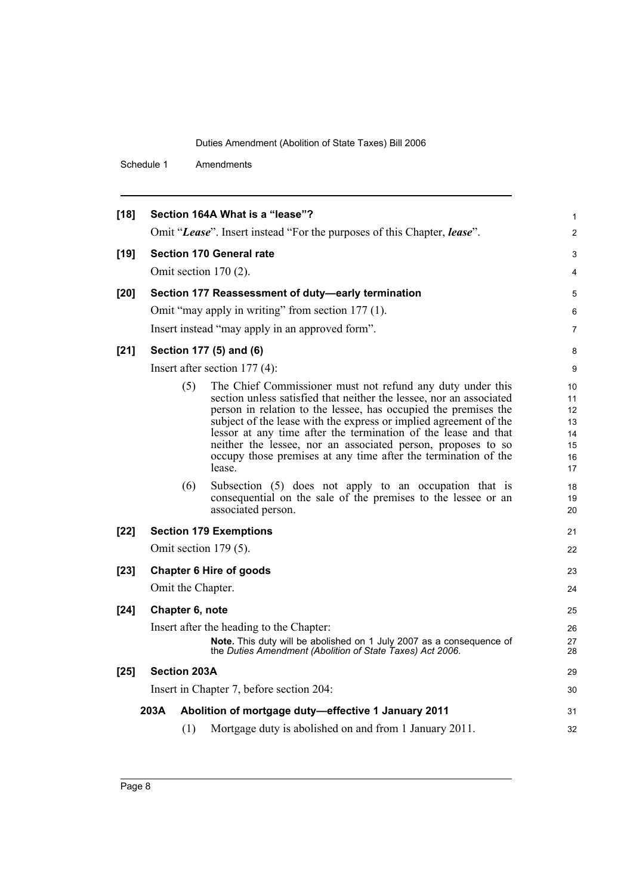| $[18]$ |                         | Section 164A What is a "lease"?                                                                                                                                                                                                                                                                                                                                                                                                                                                                                                                   | $\mathbf{1}$                                       |
|--------|-------------------------|---------------------------------------------------------------------------------------------------------------------------------------------------------------------------------------------------------------------------------------------------------------------------------------------------------------------------------------------------------------------------------------------------------------------------------------------------------------------------------------------------------------------------------------------------|----------------------------------------------------|
|        |                         | Omit "Lease". Insert instead "For the purposes of this Chapter, lease".                                                                                                                                                                                                                                                                                                                                                                                                                                                                           | $\mathbf{2}$                                       |
| $[19]$ |                         | <b>Section 170 General rate</b>                                                                                                                                                                                                                                                                                                                                                                                                                                                                                                                   | 3                                                  |
|        | Omit section $170(2)$ . |                                                                                                                                                                                                                                                                                                                                                                                                                                                                                                                                                   | 4                                                  |
| $[20]$ |                         | Section 177 Reassessment of duty-early termination                                                                                                                                                                                                                                                                                                                                                                                                                                                                                                | 5                                                  |
|        |                         | Omit "may apply in writing" from section 177 (1).                                                                                                                                                                                                                                                                                                                                                                                                                                                                                                 | 6                                                  |
|        |                         | Insert instead "may apply in an approved form".                                                                                                                                                                                                                                                                                                                                                                                                                                                                                                   | $\overline{7}$                                     |
| $[21]$ |                         | Section 177 (5) and (6)                                                                                                                                                                                                                                                                                                                                                                                                                                                                                                                           | 8                                                  |
|        |                         | Insert after section $177(4)$ :                                                                                                                                                                                                                                                                                                                                                                                                                                                                                                                   | 9                                                  |
|        | (5)<br>(6)              | The Chief Commissioner must not refund any duty under this<br>section unless satisfied that neither the lessee, nor an associated<br>person in relation to the lessee, has occupied the premises the<br>subject of the lease with the express or implied agreement of the<br>lessor at any time after the termination of the lease and that<br>neither the lessee, nor an associated person, proposes to so<br>occupy those premises at any time after the termination of the<br>lease.<br>Subsection (5) does not apply to an occupation that is | 10<br>11<br>12<br>13<br>14<br>15<br>16<br>17<br>18 |
|        |                         | consequential on the sale of the premises to the lessee or an<br>associated person.                                                                                                                                                                                                                                                                                                                                                                                                                                                               | 19<br>20                                           |
| $[22]$ |                         | <b>Section 179 Exemptions</b>                                                                                                                                                                                                                                                                                                                                                                                                                                                                                                                     | 21                                                 |
|        | Omit section $179(5)$ . |                                                                                                                                                                                                                                                                                                                                                                                                                                                                                                                                                   | 22                                                 |
| $[23]$ |                         | <b>Chapter 6 Hire of goods</b>                                                                                                                                                                                                                                                                                                                                                                                                                                                                                                                    | 23                                                 |
|        | Omit the Chapter.       |                                                                                                                                                                                                                                                                                                                                                                                                                                                                                                                                                   | 24                                                 |
| $[24]$ | Chapter 6, note         |                                                                                                                                                                                                                                                                                                                                                                                                                                                                                                                                                   | 25                                                 |
|        |                         | Insert after the heading to the Chapter:                                                                                                                                                                                                                                                                                                                                                                                                                                                                                                          | 26                                                 |
|        |                         | Note. This duty will be abolished on 1 July 2007 as a consequence of<br>the Duties Amendment (Abolition of State Taxes) Act 2006.                                                                                                                                                                                                                                                                                                                                                                                                                 | 27<br>28                                           |
| $[25]$ | <b>Section 203A</b>     |                                                                                                                                                                                                                                                                                                                                                                                                                                                                                                                                                   | 29                                                 |
|        |                         | Insert in Chapter 7, before section 204:                                                                                                                                                                                                                                                                                                                                                                                                                                                                                                          | 30                                                 |
|        | 203A                    | Abolition of mortgage duty-effective 1 January 2011                                                                                                                                                                                                                                                                                                                                                                                                                                                                                               | 31                                                 |
|        | (1)                     | Mortgage duty is abolished on and from 1 January 2011.                                                                                                                                                                                                                                                                                                                                                                                                                                                                                            | 32                                                 |
|        |                         |                                                                                                                                                                                                                                                                                                                                                                                                                                                                                                                                                   |                                                    |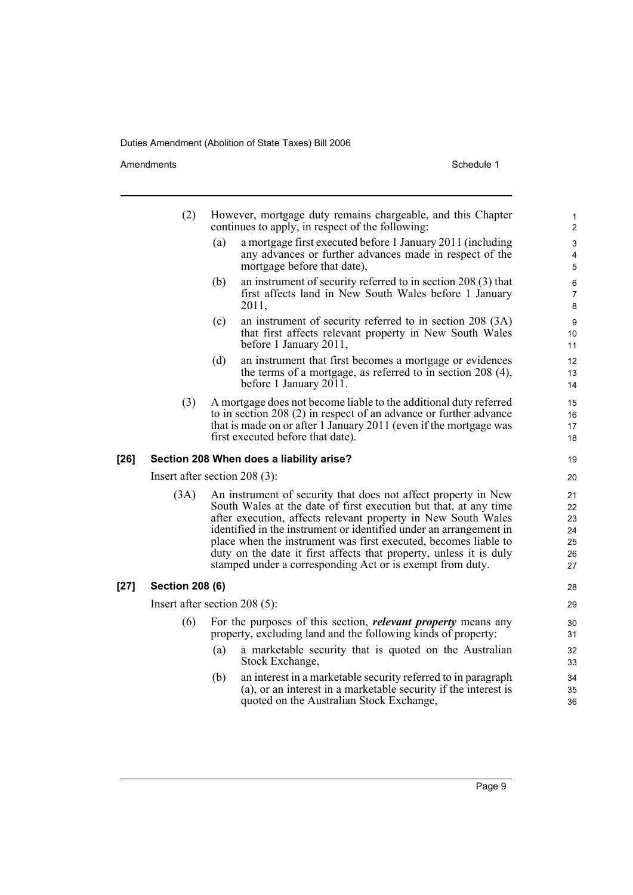Amendments **Schedule 1** and the set of the set of the set of the set of the set of the set of the set of the set of the set of the set of the set of the set of the set of the set of the set of the set of the set of the set

| (2) |     | However, mortgage duty remains chargeable, and this Chapter<br>continues to apply, in respect of the following:                                                                                                                                  |
|-----|-----|--------------------------------------------------------------------------------------------------------------------------------------------------------------------------------------------------------------------------------------------------|
|     | (a) | a mortgage first executed before 1 January 2011 (including<br>any advances or further advances made in respect of the<br>mortgage before that date),                                                                                             |
|     | (b) | an instrument of security referred to in section 208 (3) that<br>first affects land in New South Wales before 1 January<br>2011,                                                                                                                 |
|     | (c) | an instrument of security referred to in section 208 (3A)<br>that first affects relevant property in New South Wales<br>before 1 January 2011,                                                                                                   |
|     | (d) | an instrument that first becomes a mortgage or evidences<br>the terms of a mortgage, as referred to in section 208 (4),<br>before 1 January 2011.                                                                                                |
| (3) |     | A mortgage does not become liable to the additional duty referred<br>to in section 208 (2) in respect of an advance or further advance<br>that is made on or after 1 January 2011 (even if the mortgage was<br>first executed before that date). |

### **[26] Section 208 When does a liability arise?**

Insert after section 208 (3):

(3A) An instrument of security that does not affect property in New South Wales at the date of first execution but that, at any time after execution, affects relevant property in New South Wales identified in the instrument or identified under an arrangement in place when the instrument was first executed, becomes liable to duty on the date it first affects that property, unless it is duly stamped under a corresponding Act or is exempt from duty.

#### **[27] Section 208 (6)**

Insert after section 208 (5):

- (6) For the purposes of this section, *relevant property* means any property, excluding land and the following kinds of property:
	- (a) a marketable security that is quoted on the Australian Stock Exchange,
	- (b) an interest in a marketable security referred to in paragraph (a), or an interest in a marketable security if the interest is quoted on the Australian Stock Exchange,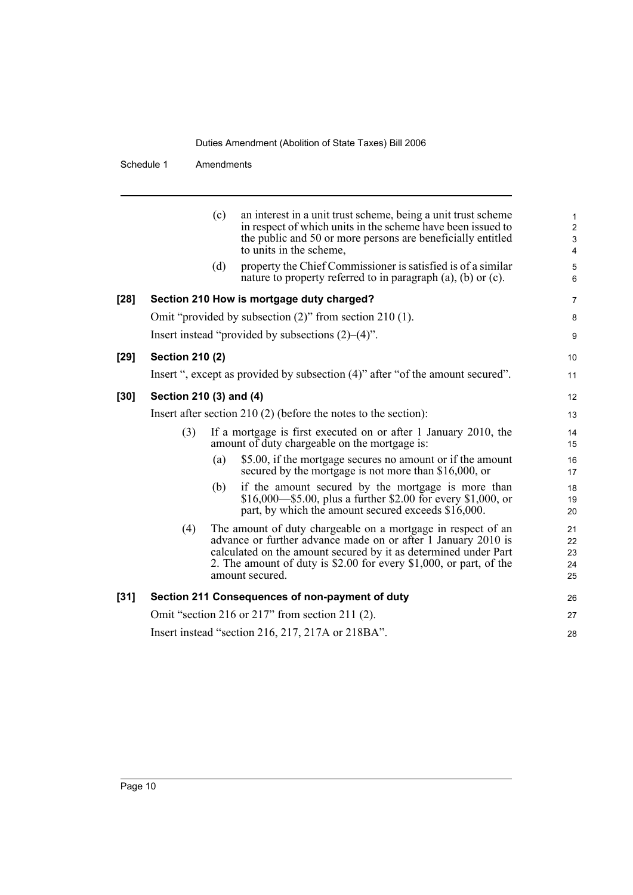Schedule 1 Amendments

|      |                         | (c)<br>(d) | an interest in a unit trust scheme, being a unit trust scheme<br>in respect of which units in the scheme have been issued to<br>the public and 50 or more persons are beneficially entitled<br>to units in the scheme.<br>property the Chief Commissioner is satisfied is of a similar<br>nature to property referred to in paragraph $(a)$ , $(b)$ or $(c)$ . | $\mathbf{1}$<br>$\overline{c}$<br>$\mathsf 3$<br>$\overline{\mathbf{4}}$<br>$\overline{5}$<br>6 |
|------|-------------------------|------------|----------------------------------------------------------------------------------------------------------------------------------------------------------------------------------------------------------------------------------------------------------------------------------------------------------------------------------------------------------------|-------------------------------------------------------------------------------------------------|
| [28] |                         |            | Section 210 How is mortgage duty charged?                                                                                                                                                                                                                                                                                                                      | $\overline{7}$                                                                                  |
|      |                         |            | Omit "provided by subsection $(2)$ " from section 210 $(1)$ .                                                                                                                                                                                                                                                                                                  | 8                                                                                               |
|      |                         |            | Insert instead "provided by subsections $(2)$ – $(4)$ ".                                                                                                                                                                                                                                                                                                       | $\boldsymbol{9}$                                                                                |
| [29] | <b>Section 210 (2)</b>  |            |                                                                                                                                                                                                                                                                                                                                                                | 10                                                                                              |
|      |                         |            | Insert ", except as provided by subsection (4)" after "of the amount secured".                                                                                                                                                                                                                                                                                 | 11                                                                                              |
| [30] | Section 210 (3) and (4) |            |                                                                                                                                                                                                                                                                                                                                                                | 12                                                                                              |
|      |                         |            | Insert after section $210(2)$ (before the notes to the section):                                                                                                                                                                                                                                                                                               | 13                                                                                              |
|      | (3)                     |            | If a mortgage is first executed on or after 1 January 2010, the<br>amount of duty chargeable on the mortgage is:                                                                                                                                                                                                                                               | 14<br>15                                                                                        |
|      |                         | (a)        | \$5.00, if the mortgage secures no amount or if the amount<br>secured by the mortgage is not more than \$16,000, or                                                                                                                                                                                                                                            | 16<br>17                                                                                        |
|      |                         | (b)        | if the amount secured by the mortgage is more than<br>$$16,000$ — $$5.00$ , plus a further \$2.00 for every \$1,000, or<br>part, by which the amount secured exceeds \$16,000.                                                                                                                                                                                 | 18<br>19<br>20                                                                                  |
|      | (4)                     |            | The amount of duty chargeable on a mortgage in respect of an<br>advance or further advance made on or after 1 January 2010 is<br>calculated on the amount secured by it as determined under Part<br>2. The amount of duty is \$2.00 for every \$1,000, or part, of the<br>amount secured.                                                                      | 21<br>22<br>23<br>24<br>25                                                                      |
| [31] |                         |            | Section 211 Consequences of non-payment of duty                                                                                                                                                                                                                                                                                                                | 26                                                                                              |
|      |                         |            | Omit "section 216 or 217" from section 211 (2).                                                                                                                                                                                                                                                                                                                | 27                                                                                              |
|      |                         |            | Insert instead "section 216, 217, 217A or 218BA".                                                                                                                                                                                                                                                                                                              | 28                                                                                              |
|      |                         |            |                                                                                                                                                                                                                                                                                                                                                                |                                                                                                 |

**[29] Section 210 (2)**

l,

[30]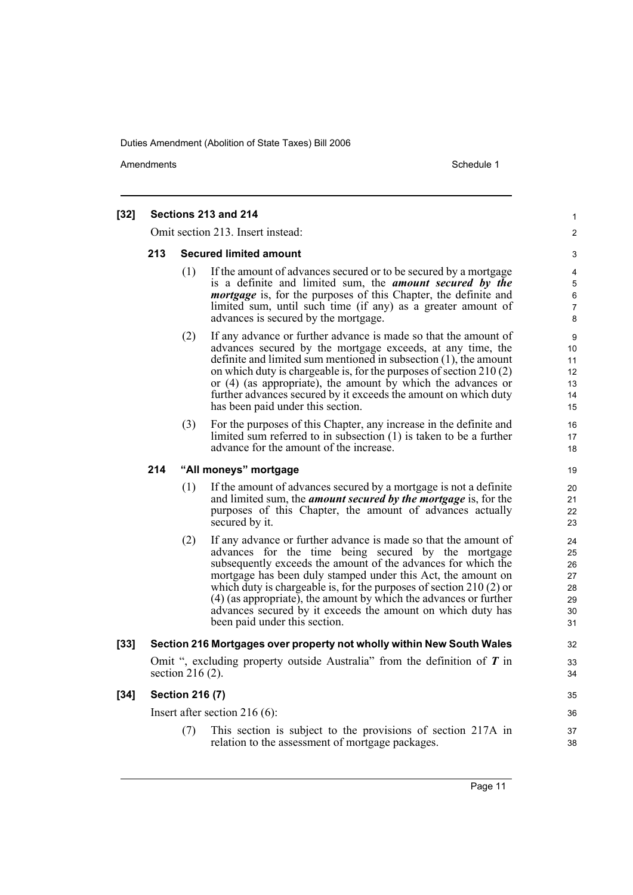Amendments Schedule 1

| $[32]$ |     |                        | Sections 213 and 214                                                                                                                                                                                                                                                                                                                                                                                                                                                                                 |  |
|--------|-----|------------------------|------------------------------------------------------------------------------------------------------------------------------------------------------------------------------------------------------------------------------------------------------------------------------------------------------------------------------------------------------------------------------------------------------------------------------------------------------------------------------------------------------|--|
|        |     |                        | Omit section 213. Insert instead:                                                                                                                                                                                                                                                                                                                                                                                                                                                                    |  |
|        | 213 |                        | <b>Secured limited amount</b>                                                                                                                                                                                                                                                                                                                                                                                                                                                                        |  |
|        |     | (1)                    | If the amount of advances secured or to be secured by a mortgage<br>is a definite and limited sum, the <i>amount secured by the</i><br><i>mortgage</i> is, for the purposes of this Chapter, the definite and<br>limited sum, until such time (if any) as a greater amount of<br>advances is secured by the mortgage.                                                                                                                                                                                |  |
|        |     | (2)                    | If any advance or further advance is made so that the amount of<br>advances secured by the mortgage exceeds, at any time, the<br>definite and limited sum mentioned in subsection (1), the amount<br>on which duty is chargeable is, for the purposes of section $210(2)$<br>or $(4)$ (as appropriate), the amount by which the advances or<br>further advances secured by it exceeds the amount on which duty<br>has been paid under this section.                                                  |  |
|        |     | (3)                    | For the purposes of this Chapter, any increase in the definite and<br>limited sum referred to in subsection $(1)$ is taken to be a further<br>advance for the amount of the increase.                                                                                                                                                                                                                                                                                                                |  |
|        | 214 |                        | "All moneys" mortgage                                                                                                                                                                                                                                                                                                                                                                                                                                                                                |  |
|        |     | (1)                    | If the amount of advances secured by a mortgage is not a definite<br>and limited sum, the <i>amount secured by the mortgage</i> is, for the<br>purposes of this Chapter, the amount of advances actually<br>secured by it.                                                                                                                                                                                                                                                                           |  |
|        |     | (2)                    | If any advance or further advance is made so that the amount of<br>advances for the time being secured by the mortgage<br>subsequently exceeds the amount of the advances for which the<br>mortgage has been duly stamped under this Act, the amount on<br>which duty is chargeable is, for the purposes of section $210(2)$ or<br>(4) (as appropriate), the amount by which the advances or further<br>advances secured by it exceeds the amount on which duty has<br>been paid under this section. |  |
| $[33]$ |     |                        | Section 216 Mortgages over property not wholly within New South Wales                                                                                                                                                                                                                                                                                                                                                                                                                                |  |
|        |     | section 216 $(2)$ .    | Omit ", excluding property outside Australia" from the definition of $T$ in                                                                                                                                                                                                                                                                                                                                                                                                                          |  |
| [34]   |     | <b>Section 216 (7)</b> |                                                                                                                                                                                                                                                                                                                                                                                                                                                                                                      |  |
|        |     |                        | Insert after section 216 $(6)$ :                                                                                                                                                                                                                                                                                                                                                                                                                                                                     |  |
|        |     | (7)                    | This section is subject to the provisions of section 217A in<br>relation to the assessment of mortgage packages.                                                                                                                                                                                                                                                                                                                                                                                     |  |

Page 11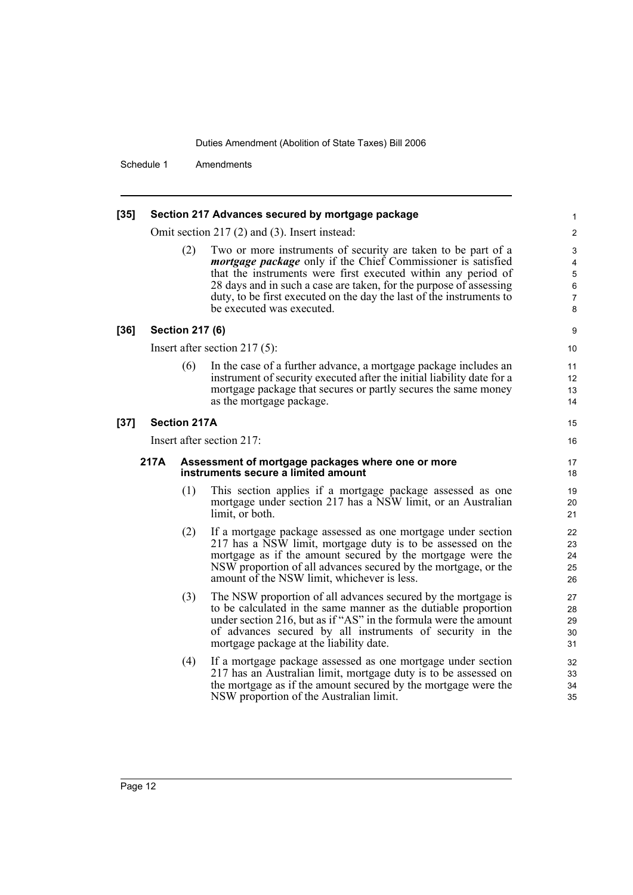Schedule 1 Amendments

### **[35] Section 217 Advances secured by mortgage package**

Omit section 217 (2) and (3). Insert instead:

(2) Two or more instruments of security are taken to be part of a *mortgage package* only if the Chief Commissioner is satisfied that the instruments were first executed within any period of 28 days and in such a case are taken, for the purpose of assessing duty, to be first executed on the day the last of the instruments to be executed was executed.

15 16

### **[36] Section 217 (6)**

Insert after section 217 (5):

In the case of a further advance, a mortgage package includes an instrument of security executed after the initial liability date for a mortgage package that secures or partly secures the same money as the mortgage package.

### **[37] Section 217A**

Insert after section 217:

#### **217A Assessment of mortgage packages where one or more instruments secure a limited amount**

- (1) This section applies if a mortgage package assessed as one mortgage under section 217 has a NSW limit, or an Australian limit, or both.
- (2) If a mortgage package assessed as one mortgage under section 217 has a NSW limit, mortgage duty is to be assessed on the mortgage as if the amount secured by the mortgage were the NSW proportion of all advances secured by the mortgage, or the amount of the NSW limit, whichever is less.
- (3) The NSW proportion of all advances secured by the mortgage is to be calculated in the same manner as the dutiable proportion under section 216, but as if "AS" in the formula were the amount of advances secured by all instruments of security in the mortgage package at the liability date.
- (4) If a mortgage package assessed as one mortgage under section 217 has an Australian limit, mortgage duty is to be assessed on the mortgage as if the amount secured by the mortgage were the NSW proportion of the Australian limit.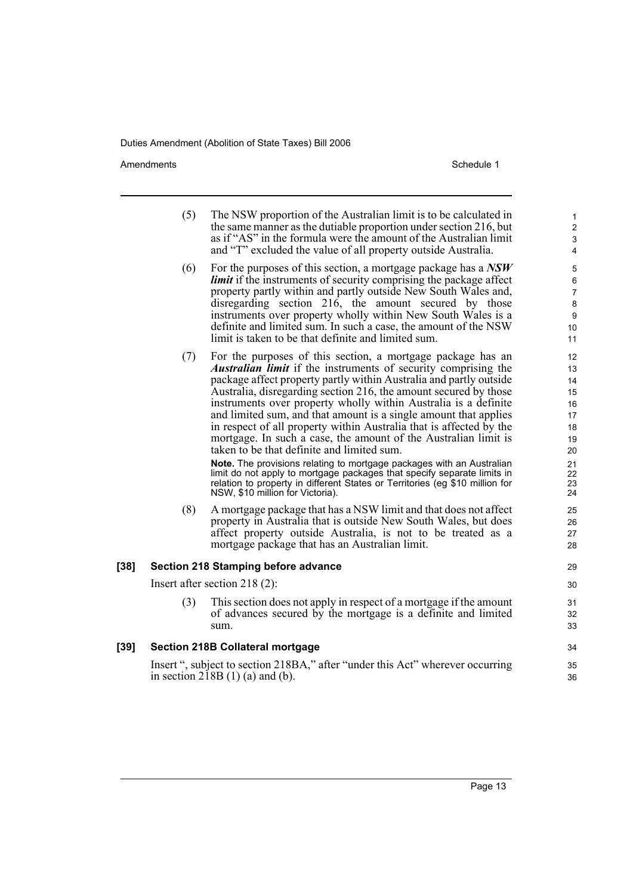Amendments Schedule 1

|        | (5) | The NSW proportion of the Australian limit is to be calculated in<br>the same manner as the dutiable proportion under section 216, but<br>as if "AS" in the formula were the amount of the Australian limit<br>and "T" excluded the value of all property outside Australia.                                                                                                                                                                                                                                                                                                                                                                                                           | $\mathbf{1}$<br>$\boldsymbol{2}$<br>$\mathfrak{S}$<br>4                       |
|--------|-----|----------------------------------------------------------------------------------------------------------------------------------------------------------------------------------------------------------------------------------------------------------------------------------------------------------------------------------------------------------------------------------------------------------------------------------------------------------------------------------------------------------------------------------------------------------------------------------------------------------------------------------------------------------------------------------------|-------------------------------------------------------------------------------|
|        | (6) | For the purposes of this section, a mortgage package has a NSW<br>limit if the instruments of security comprising the package affect<br>property partly within and partly outside New South Wales and,<br>disregarding section 216, the amount secured by those<br>instruments over property wholly within New South Wales is a<br>definite and limited sum. In such a case, the amount of the NSW<br>limit is taken to be that definite and limited sum.                                                                                                                                                                                                                              | $\mathbf 5$<br>$\,6\,$<br>$\overline{7}$<br>8<br>$\boldsymbol{9}$<br>10<br>11 |
|        | (7) | For the purposes of this section, a mortgage package has an<br><b>Australian limit</b> if the instruments of security comprising the<br>package affect property partly within Australia and partly outside<br>Australia, disregarding section 216, the amount secured by those<br>instruments over property wholly within Australia is a definite<br>and limited sum, and that amount is a single amount that applies<br>in respect of all property within Australia that is affected by the<br>mortgage. In such a case, the amount of the Australian limit is<br>taken to be that definite and limited sum.<br>Note. The provisions relating to mortgage packages with an Australian | 12<br>13<br>14<br>15<br>16<br>17<br>18<br>19<br>20<br>21                      |
|        |     | limit do not apply to mortgage packages that specify separate limits in<br>relation to property in different States or Territories (eg \$10 million for<br>NSW, \$10 million for Victoria).                                                                                                                                                                                                                                                                                                                                                                                                                                                                                            | 22<br>23<br>24                                                                |
|        | (8) | A mortgage package that has a NSW limit and that does not affect<br>property in Australia that is outside New South Wales, but does<br>affect property outside Australia, is not to be treated as a<br>mortgage package that has an Australian limit.                                                                                                                                                                                                                                                                                                                                                                                                                                  | 25<br>26<br>27<br>28                                                          |
| $[38]$ |     | <b>Section 218 Stamping before advance</b>                                                                                                                                                                                                                                                                                                                                                                                                                                                                                                                                                                                                                                             | 29                                                                            |
|        |     | Insert after section 218 $(2)$ :                                                                                                                                                                                                                                                                                                                                                                                                                                                                                                                                                                                                                                                       | 30                                                                            |
|        | (3) | This section does not apply in respect of a mortgage if the amount<br>of advances secured by the mortgage is a definite and limited<br>sum.                                                                                                                                                                                                                                                                                                                                                                                                                                                                                                                                            | 31<br>32<br>33                                                                |
| $[39]$ |     | <b>Section 218B Collateral mortgage</b>                                                                                                                                                                                                                                                                                                                                                                                                                                                                                                                                                                                                                                                | 34                                                                            |
|        |     | Insert ", subject to section 218BA," after "under this Act" wherever occurring<br>in section $218B(1)$ (a) and (b).                                                                                                                                                                                                                                                                                                                                                                                                                                                                                                                                                                    | 35<br>36                                                                      |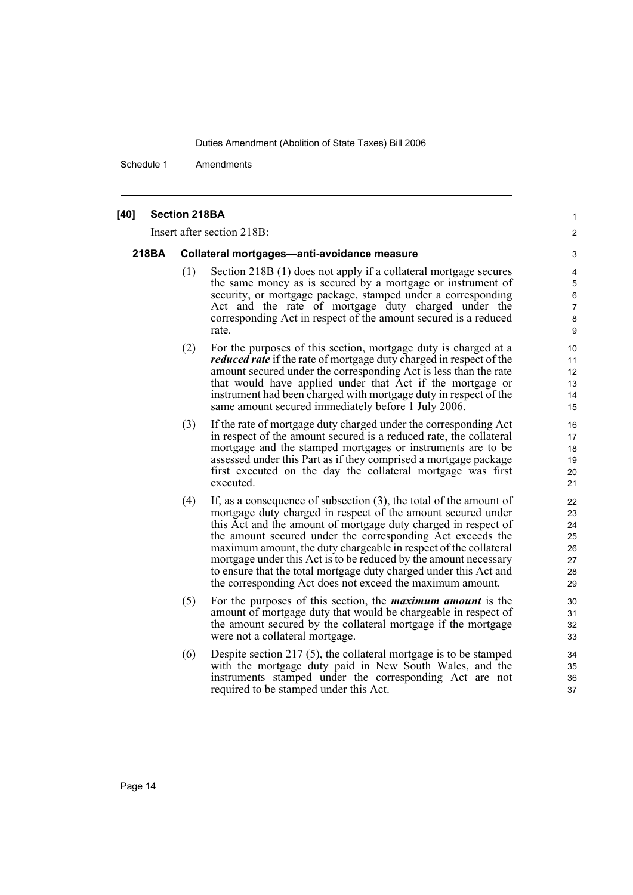Schedule 1 Amendments

#### **[40] Section 218BA** Insert after section 218B: **218BA Collateral mortgages—anti-avoidance measure** (1) Section 218B (1) does not apply if a collateral mortgage secures the same money as is secured by a mortgage or instrument of security, or mortgage package, stamped under a corresponding Act and the rate of mortgage duty charged under the corresponding Act in respect of the amount secured is a reduced rate. (2) For the purposes of this section, mortgage duty is charged at a *reduced rate* if the rate of mortgage duty charged in respect of the amount secured under the corresponding Act is less than the rate that would have applied under that Act if the mortgage or instrument had been charged with mortgage duty in respect of the same amount secured immediately before 1 July 2006. (3) If the rate of mortgage duty charged under the corresponding Act in respect of the amount secured is a reduced rate, the collateral mortgage and the stamped mortgages or instruments are to be assessed under this Part as if they comprised a mortgage package first executed on the day the collateral mortgage was first executed. (4) If, as a consequence of subsection (3), the total of the amount of mortgage duty charged in respect of the amount secured under this Act and the amount of mortgage duty charged in respect of the amount secured under the corresponding Act exceeds the maximum amount, the duty chargeable in respect of the collateral mortgage under this Act is to be reduced by the amount necessary to ensure that the total mortgage duty charged under this Act and the corresponding Act does not exceed the maximum amount. (5) For the purposes of this section, the *maximum amount* is the amount of mortgage duty that would be chargeable in respect of the amount secured by the collateral mortgage if the mortgage were not a collateral mortgage. (6) Despite section 217 (5), the collateral mortgage is to be stamped with the mortgage duty paid in New South Wales, and the instruments stamped under the corresponding Act are not required to be stamped under this Act. 1  $\mathfrak{p}$ 3 4 5 6 7 8 9 10 11 12 13 14 15 16 17 18 19 20 21 22 23 24 25 26 27 28 29 30 31 32 33 34 35 36 37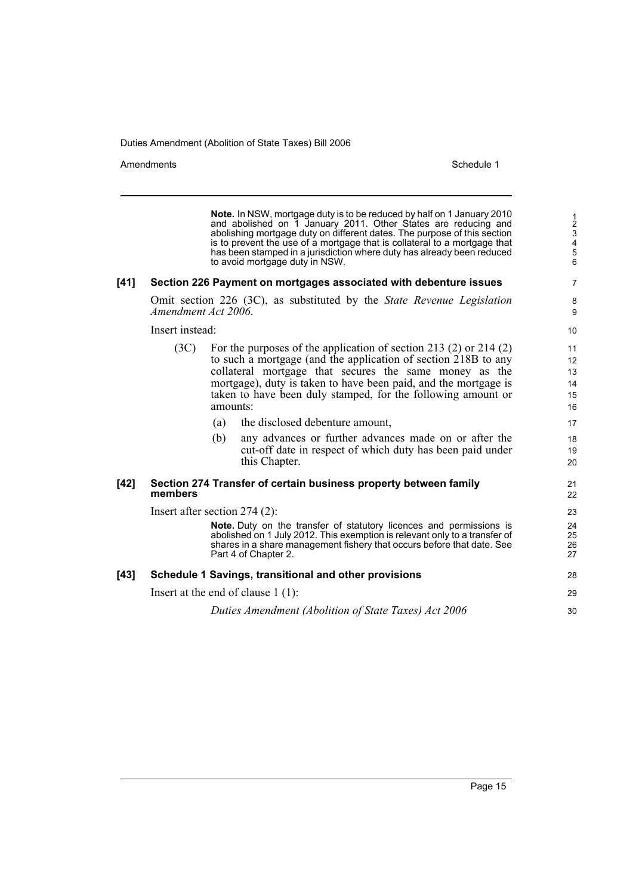Amendments **Amendments** Schedule 1

**Note.** In NSW, mortgage duty is to be reduced by half on 1 January 2010 and abolished on 1 January 2011. Other States are reducing and abolishing mortgage duty on different dates. The purpose of this section is to prevent the use of a mortgage that is collateral to a mortgage that has been stamped in a jurisdiction where duty has already been reduced to avoid mortgage duty in NSW.

#### **[41] Section 226 Payment on mortgages associated with debenture issues**

Omit section 226 (3C), as substituted by the *State Revenue Legislation Amendment Act 2006*.

Insert instead:

- (3C) For the purposes of the application of section 213 (2) or 214 (2) to such a mortgage (and the application of section 218B to any collateral mortgage that secures the same money as the mortgage), duty is taken to have been paid, and the mortgage is taken to have been duly stamped, for the following amount or amounts:
	- (a) the disclosed debenture amount,
	- (b) any advances or further advances made on or after the cut-off date in respect of which duty has been paid under this Chapter.

#### **[42] Section 274 Transfer of certain business property between family members**

Insert after section 274 (2):

**Note.** Duty on the transfer of statutory licences and permissions is abolished on 1 July 2012. This exemption is relevant only to a transfer of shares in a share management fishery that occurs before that date. See Part 4 of Chapter 2.

| [43] | Schedule 1 Savings, transitional and other provisions |    |  |  |  |  |
|------|-------------------------------------------------------|----|--|--|--|--|
|      | Insert at the end of clause $1(1)$ :                  | 29 |  |  |  |  |
|      | Duties Amendment (Abolition of State Taxes) Act 2006  | 30 |  |  |  |  |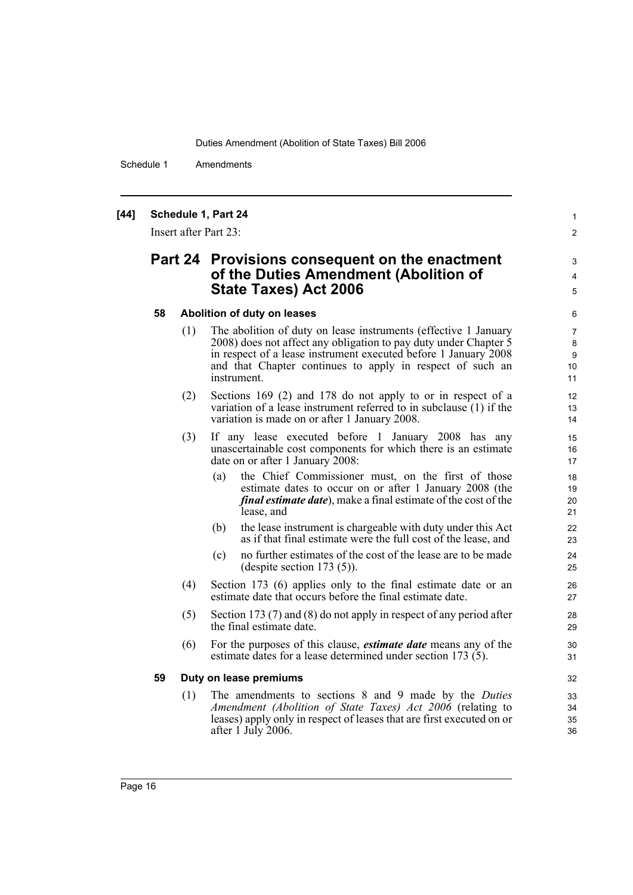Schedule 1 Amendments

### **[44] Schedule 1, Part 24**

Insert after Part 23:

# **Part 24 Provisions consequent on the enactment of the Duties Amendment (Abolition of State Taxes) Act 2006**

#### **58 Abolition of duty on leases**

(1) The abolition of duty on lease instruments (effective 1 January 2008) does not affect any obligation to pay duty under Chapter 5 in respect of a lease instrument executed before 1 January 2008 and that Chapter continues to apply in respect of such an instrument.

1  $\mathfrak{p}$ 

3 4 5

- (2) Sections 169 (2) and 178 do not apply to or in respect of a variation of a lease instrument referred to in subclause (1) if the variation is made on or after 1 January 2008.
- (3) If any lease executed before 1 January 2008 has any unascertainable cost components for which there is an estimate date on or after 1 January 2008:
	- (a) the Chief Commissioner must, on the first of those estimate dates to occur on or after 1 January 2008 (the *final estimate date*), make a final estimate of the cost of the lease, and
	- (b) the lease instrument is chargeable with duty under this Act as if that final estimate were the full cost of the lease, and
	- (c) no further estimates of the cost of the lease are to be made (despite section 173 (5)).
- (4) Section 173 (6) applies only to the final estimate date or an estimate date that occurs before the final estimate date.
- (5) Section 173 (7) and (8) do not apply in respect of any period after the final estimate date.
- (6) For the purposes of this clause, *estimate date* means any of the estimate dates for a lease determined under section 173 (5).

#### **59 Duty on lease premiums**

(1) The amendments to sections 8 and 9 made by the *Duties Amendment (Abolition of State Taxes) Act 2006* (relating to leases) apply only in respect of leases that are first executed on or after 1 July 2006.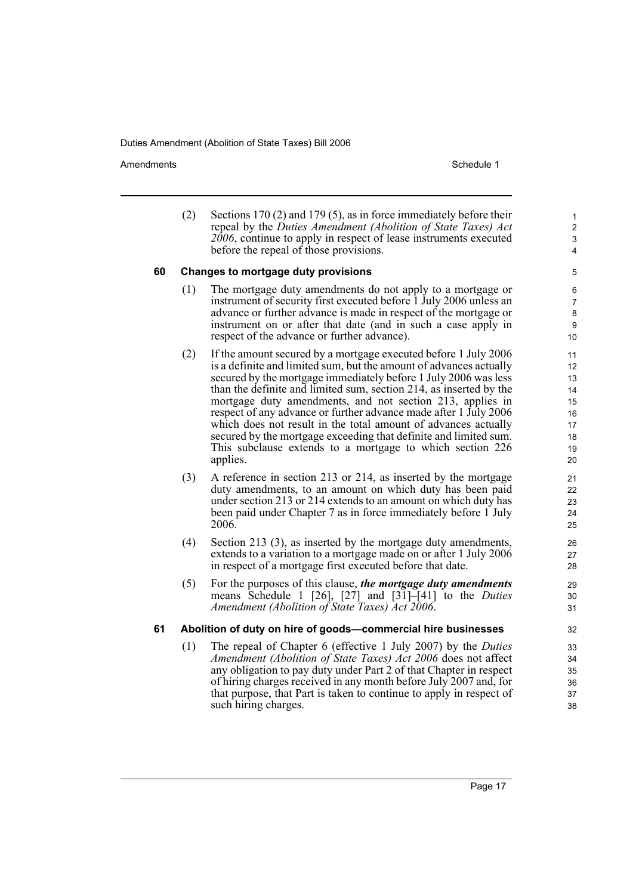Amendments **Amendments** Schedule 1

(2) Sections 170 (2) and 179 (5), as in force immediately before their repeal by the *Duties Amendment (Abolition of State Taxes) Act 2006*, continue to apply in respect of lease instruments executed before the repeal of those provisions.

# **60 Changes to mortgage duty provisions**

- (1) The mortgage duty amendments do not apply to a mortgage or instrument of security first executed before 1 July 2006 unless an advance or further advance is made in respect of the mortgage or instrument on or after that date (and in such a case apply in respect of the advance or further advance).
- (2) If the amount secured by a mortgage executed before 1 July 2006 is a definite and limited sum, but the amount of advances actually secured by the mortgage immediately before 1 July 2006 was less than the definite and limited sum, section 214, as inserted by the mortgage duty amendments, and not section 213, applies in respect of any advance or further advance made after 1 July 2006 which does not result in the total amount of advances actually secured by the mortgage exceeding that definite and limited sum. This subclause extends to a mortgage to which section 226 applies.
- (3) A reference in section 213 or 214, as inserted by the mortgage duty amendments, to an amount on which duty has been paid under section 213 or 214 extends to an amount on which duty has been paid under Chapter 7 as in force immediately before 1 July 2006.
- (4) Section 213 (3), as inserted by the mortgage duty amendments, extends to a variation to a mortgage made on or after 1 July 2006 in respect of a mortgage first executed before that date.
- (5) For the purposes of this clause, *the mortgage duty amendments* means Schedule 1 [26], [27] and [31]–[41] to the *Duties Amendment (Abolition of State Taxes) Act 2006*.

#### **61 Abolition of duty on hire of goods—commercial hire businesses**

(1) The repeal of Chapter 6 (effective 1 July 2007) by the *Duties Amendment (Abolition of State Taxes) Act 2006* does not affect any obligation to pay duty under Part 2 of that Chapter in respect of hiring charges received in any month before July 2007 and, for that purpose, that Part is taken to continue to apply in respect of such hiring charges.